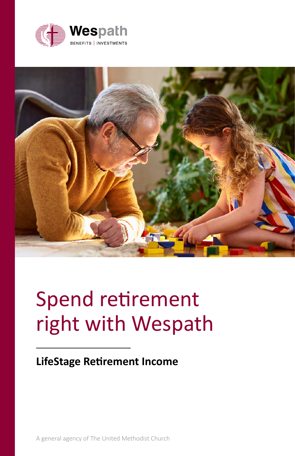



# Spend retirement right with Wespath

### **LifeStage Retirement Income**

A general agency of The United Methodist Church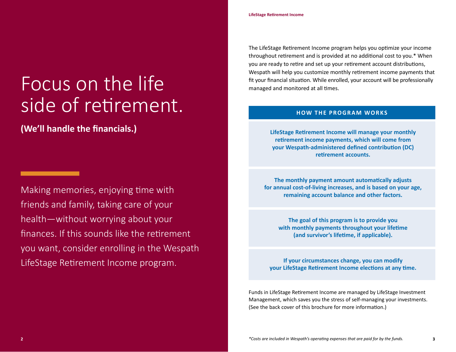Focus on the life side of retirement.

**(We'll handle the financials.)**

<u> Tanzania (h. 1888).</u>

Making memories, enjoying time with friends and family, taking care of your health—without worrying about your finances. If this sounds like the retirement you want, consider enrolling in the Wespath LifeStage Retirement Income program.

The LifeStage Retirement Income program helps you optimize your income throughout retirement and is provided at no additional cost to you.\* When you are ready to retire and set up your retirement account distributions, Wespath will help you customize monthly retirement income payments that fit your financial situation. While enrolled, your account will be professionally managed and monitored at all times.

#### **HOW THE PROGRAM WORKS**

**LifeStage Retirement Income will manage your monthly retirement income payments, which will come from your Wespath-administered defined contribution (DC) retirement accounts.**

**The monthly payment amount automatically adjusts for annual cost-of-living increases, and is based on your age, remaining account balance and other factors.**

**The goal of this program is to provide you with monthly payments throughout your lifetime (and survivor's lifetime, if applicable).**

**If your circumstances change, you can modify your LifeStage Retirement Income elections at any time.**

Funds in LifeStage Retirement Income are managed by LifeStage Investment Management, which saves you the stress of self-managing your investments. (See the back cover of this brochure for more information.)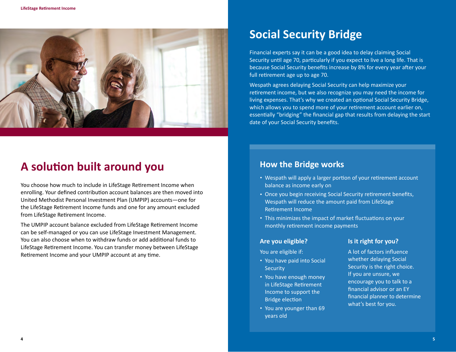

## **A solution built around you**

You choose how much to include in LifeStage Retirement Income when enrolling. Your defined contribution account balances are then moved into United Methodist Personal Investment Plan (UMPIP) accounts—one for the LifeStage Retirement Income funds and one for any amount excluded from LifeStage Retirement Income.

The UMPIP account balance excluded from LifeStage Retirement Income can be self-managed or you can use LifeStage Investment Management. You can also choose when to withdraw funds or add additional funds to LifeStage Retirement Income. You can transfer money between LifeStage Retirement Income and your UMPIP account at any time.

# **Social Security Bridge**

Financial experts say it can be a good idea to delay claiming Social Security until age 70, particularly if you expect to live a long life. That is because Social Security benefits increase by 8% for every year after your full retirement age up to age 70.

Wespath agrees delaying Social Security can help maximize your retirement income, but we also recognize you may need the income for living expenses. That's why we created an optional Social Security Bridge, which allows you to spend more of your retirement account earlier on, essentially "bridging" the financial gap that results from delaying the start date of your Social Security benefits.

### **How the Bridge works**

- Wespath will apply a larger portion of your retirement account balance as income early on
- Once you begin receiving Social Security retirement benefits, Wespath will reduce the amount paid from LifeStage Retirement Income
- This minimizes the impact of market fluctuations on your monthly retirement income payments

#### **Are you eligible?**

You are eligible if:

- You have paid into Social **Security**
- You have enough money in LifeStage Retirement Income to support the Bridge election
- You are younger than 69 years old

#### **Is it right for you?**

A lot of factors influence whether delaying Social Security is the right choice. If you are unsure, we encourage you to talk to a financial advisor or an EY financial planner to determine what's best for you.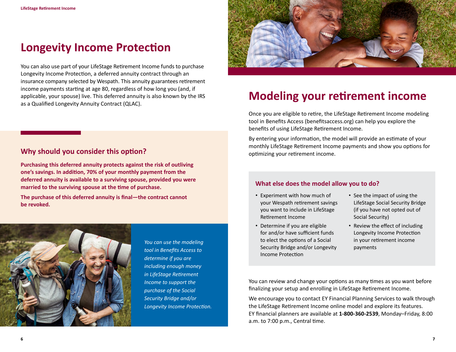# **Longevity Income Protection**

You can also use part of your LifeStage Retirement Income funds to purchase Longevity Income Protection, a deferred annuity contract through an insurance company selected by Wespath. This annuity guarantees retirement income payments starting at age 80, regardless of how long you (and, if applicable, your spouse) live. This deferred annuity is also known by the IRS as a Qualified Longevity Annuity Contract (QLAC).



# **Modeling your retirement income**

Once you are eligible to retire, the LifeStage Retirement Income modeling tool in Benefits Access (benefitsaccess.org) can help you explore the benefits of using LifeStage Retirement Income.

By entering your information, the model will provide an estimate of your monthly LifeStage Retirement Income payments and show you options for optimizing your retirement income.

### **Why should you consider this option?**

**Purchasing this deferred annuity protects against the risk of outliving one's savings. In addition, 70% of your monthly payment from the deferred annuity is available to a surviving spouse, provided you were married to the surviving spouse at the time of purchase.** 

**The purchase of this deferred annuity is final—the contract cannot be revoked.**



*You can use the modeling tool in Benefits Access to determine if you are including enough money in LifeStage Retirement Income to support the purchase of the Social Security Bridge and/or Longevity Income Protection.*

#### **What else does the model allow you to do?**

- Experiment with how much of your Wespath retirement savings you want to include in LifeStage Retirement Income
- Determine if you are eligible for and/or have sufficient funds to elect the options of a Social Security Bridge and/or Longevity Income Protection
- See the impact of using the LifeStage Social Security Bridge (if you have not opted out of Social Security)
- Review the effect of including Longevity Income Protection in your retirement income payments

You can review and change your options as many times as you want before finalizing your setup and enrolling in LifeStage Retirement Income.

We encourage you to contact EY Financial Planning Services to walk through the LifeStage Retirement Income online model and explore its features. EY financial planners are available at **1-800-360-2539**, Monday–Friday, 8:00 a.m. to 7:00 p.m., Central time.